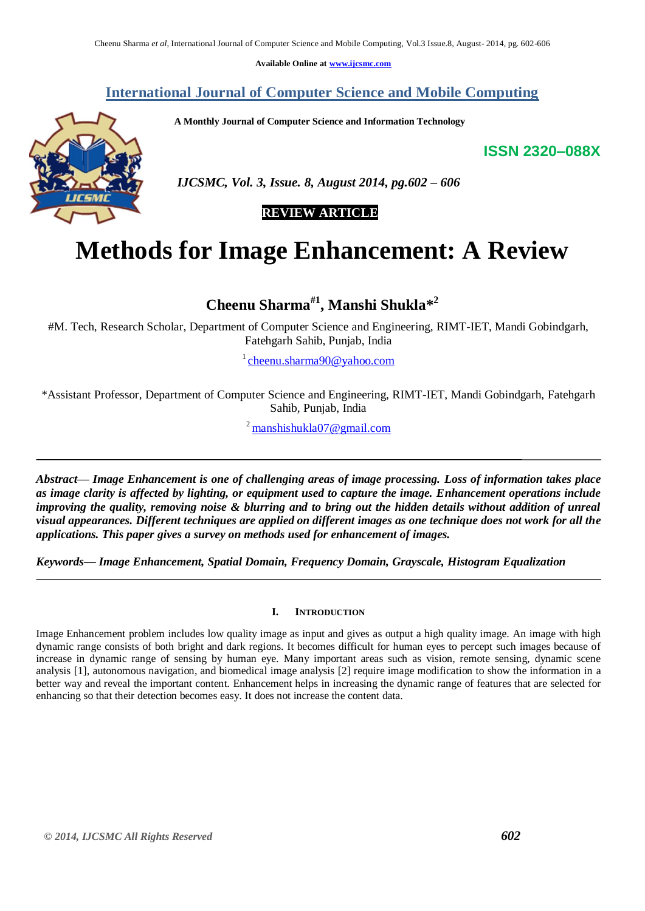**Available Online at [www.ijcsmc.com](http://www.ijcsmc.com/)**

**International Journal of Computer Science and Mobile Computing**

 **A Monthly Journal of Computer Science and Information Technology**

**ISSN 2320–088X**



 *IJCSMC, Vol. 3, Issue. 8, August 2014, pg.602 – 606*

## **REVIEW ARTICLE**

# **Methods for Image Enhancement: A Review**

**Cheenu Sharma#1, Manshi Shukla\* 2**

#M. Tech, Research Scholar, Department of Computer Science and Engineering, RIMT-IET, Mandi Gobindgarh, Fatehgarh Sahib, Punjab, India

<sup>1</sup> [cheenu.sharma90@yahoo.com](mailto:cheenu.sharma90@yahoo.com)

\*Assistant Professor, Department of Computer Science and Engineering, RIMT-IET, Mandi Gobindgarh, Fatehgarh Sahib, Punjab, India

 $^{2}$  [manshishukla07@gmail.com](mailto:manshishukla07@gmail.com)

*Abstract— Image Enhancement is one of challenging areas of image processing. Loss of information takes place as image clarity is affected by lighting, or equipment used to capture the image. Enhancement operations include improving the quality, removing noise & blurring and to bring out the hidden details without addition of unreal visual appearances. Different techniques are applied on different images as one technique does not work for all the applications. This paper gives a survey on methods used for enhancement of images.*

*Keywords— Image Enhancement, Spatial Domain, Frequency Domain, Grayscale, Histogram Equalization*

### **I. INTRODUCTION**

Image Enhancement problem includes low quality image as input and gives as output a high quality image. An image with high dynamic range consists of both bright and dark regions. It becomes difficult for human eyes to percept such images because of increase in dynamic range of sensing by human eye. Many important areas such as vision, remote sensing, dynamic scene analysis [1], autonomous navigation, and biomedical image analysis [2] require image modification to show the information in a better way and reveal the important content. Enhancement helps in increasing the dynamic range of features that are selected for enhancing so that their detection becomes easy. It does not increase the content data.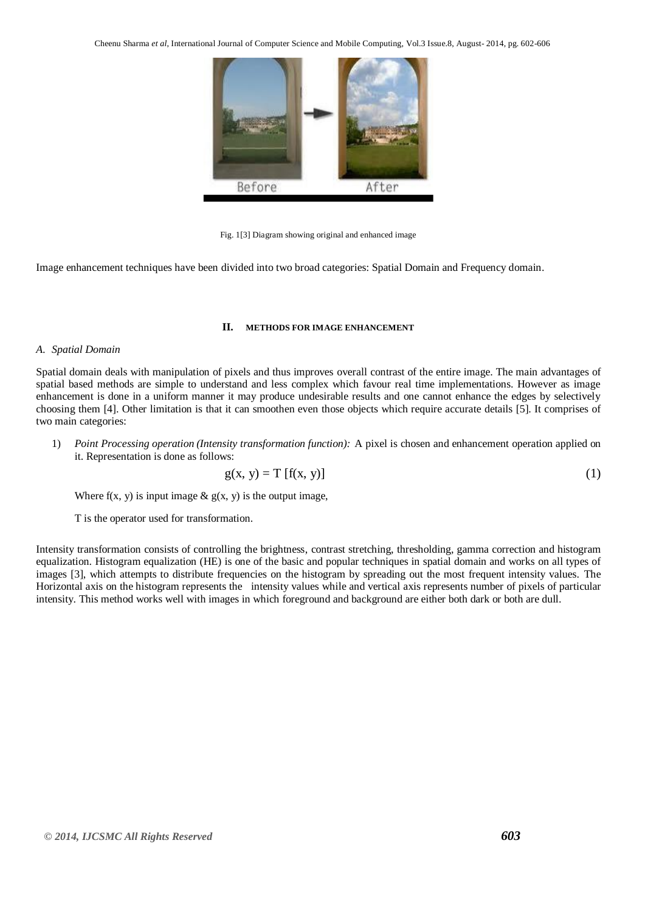Cheenu Sharma *et al*, International Journal of Computer Science and Mobile Computing, Vol.3 Issue.8, August- 2014, pg. 602-606



Fig. 1[3] Diagram showing original and enhanced image

Image enhancement techniques have been divided into two broad categories: Spatial Domain and Frequency domain.

#### **II. METHODS FOR IMAGE ENHANCEMENT**

#### *A. Spatial Domain*

Spatial domain deals with manipulation of pixels and thus improves overall contrast of the entire image. The main advantages of spatial based methods are simple to understand and less complex which favour real time implementations. However as image enhancement is done in a uniform manner it may produce undesirable results and one cannot enhance the edges by selectively choosing them [4]. Other limitation is that it can smoothen even those objects which require accurate details [5]. It comprises of two main categories:

1) *Point Processing operation (Intensity transformation function):* A pixel is chosen and enhancement operation applied on it. Representation is done as follows:

$$
g(x, y) = T[f(x, y)]
$$
 (1)

Where  $f(x, y)$  is input image  $\& g(x, y)$  is the output image,

T is the operator used for transformation.

Intensity transformation consists of controlling the brightness, contrast stretching, thresholding, gamma correction and histogram equalization. Histogram equalization (HE) is one of the basic and popular techniques in spatial domain and works on all types of images [3], which attempts to distribute frequencies on the histogram by spreading out the most frequent intensity values. The Horizontal axis on the histogram represents the intensity values while and vertical axis represents number of pixels of particular intensity. This method works well with images in which foreground and background are either both dark or both are dull.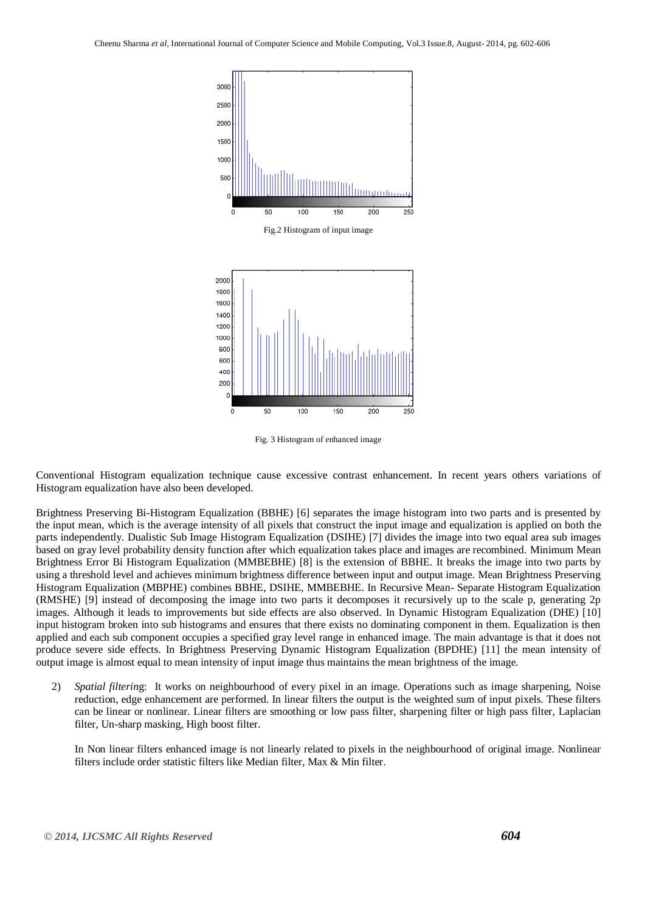



Fig. 3 Histogram of enhanced image

Conventional Histogram equalization technique cause excessive contrast enhancement. In recent years others variations of Histogram equalization have also been developed.

Brightness Preserving Bi-Histogram Equalization (BBHE) [6] separates the image histogram into two parts and is presented by the input mean, which is the average intensity of all pixels that construct the input image and equalization is applied on both the parts independently. Dualistic Sub Image Histogram Equalization (DSIHE) [7] divides the image into two equal area sub images based on gray level probability density function after which equalization takes place and images are recombined. Minimum Mean Brightness Error Bi Histogram Equalization (MMBEBHE) [8] is the extension of BBHE. It breaks the image into two parts by using a threshold level and achieves minimum brightness difference between input and output image. Mean Brightness Preserving Histogram Equalization (MBPHE) combines BBHE, DSIHE, MMBEBHE. In Recursive Mean- Separate Histogram Equalization (RMSHE) [9] instead of decomposing the image into two parts it decomposes it recursively up to the scale p, generating 2p images. Although it leads to improvements but side effects are also observed. In Dynamic Histogram Equalization (DHE) [10] input histogram broken into sub histograms and ensures that there exists no dominating component in them. Equalization is then applied and each sub component occupies a specified gray level range in enhanced image. The main advantage is that it does not produce severe side effects. In Brightness Preserving Dynamic Histogram Equalization (BPDHE) [11] the mean intensity of output image is almost equal to mean intensity of input image thus maintains the mean brightness of the image.

2) *Spatial filterin*g: It works on neighbourhood of every pixel in an image. Operations such as image sharpening, Noise reduction, edge enhancement are performed. In linear filters the output is the weighted sum of input pixels. These filters can be linear or nonlinear. Linear filters are smoothing or low pass filter, sharpening filter or high pass filter, Laplacian filter, Un-sharp masking, High boost filter.

In Non linear filters enhanced image is not linearly related to pixels in the neighbourhood of original image. Nonlinear filters include order statistic filters like Median filter, Max & Min filter.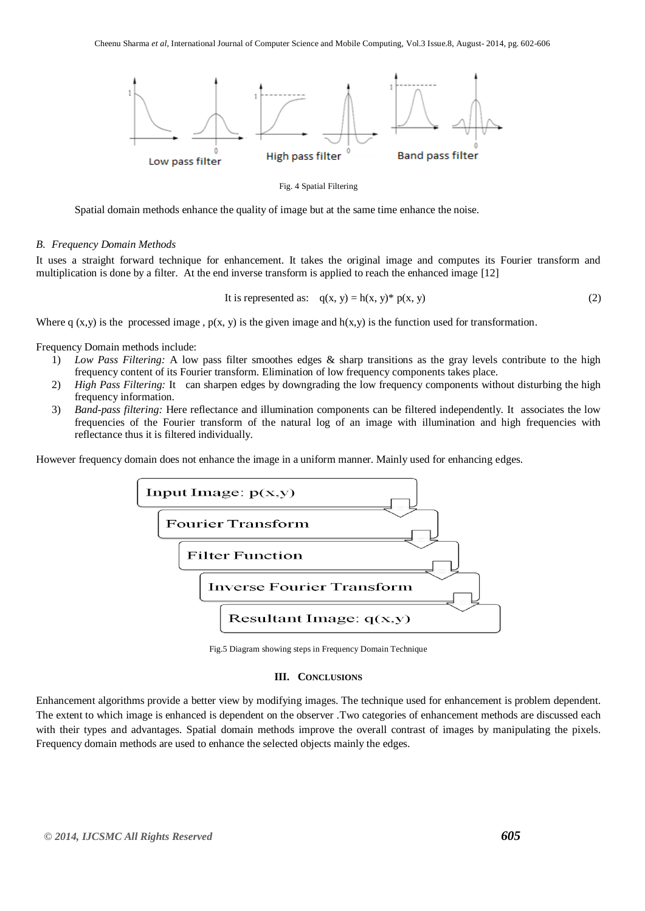

Fig. 4 Spatial Filtering

Spatial domain methods enhance the quality of image but at the same time enhance the noise.

#### *B. Frequency Domain Methods*

It uses a straight forward technique for enhancement. It takes the original image and computes its Fourier transform and multiplication is done by a filter. At the end inverse transform is applied to reach the enhanced image [12]

It is represented as: 
$$
q(x, y) = h(x, y)^* p(x, y)
$$
 (2)

Where q  $(x, y)$  is the processed image,  $p(x, y)$  is the given image and  $h(x, y)$  is the function used for transformation.

Frequency Domain methods include:

- 1) *Low Pass Filtering:* A low pass filter smoothes edges & sharp transitions as the gray levels contribute to the high frequency content of its Fourier transform. Elimination of low frequency components takes place.
- 2) *High Pass Filtering:* It can sharpen edges by downgrading the low frequency components without disturbing the high frequency information.
- 3) *Band-pass filtering:* Here reflectance and illumination components can be filtered independently. It associates the low frequencies of the Fourier transform of the natural log of an image with illumination and high frequencies with reflectance thus it is filtered individually.

However frequency domain does not enhance the image in a uniform manner. Mainly used for enhancing edges.



Fig.5 Diagram showing steps in Frequency Domain Technique

#### **III. CONCLUSIONS**

Enhancement algorithms provide a better view by modifying images. The technique used for enhancement is problem dependent. The extent to which image is enhanced is dependent on the observer .Two categories of enhancement methods are discussed each with their types and advantages. Spatial domain methods improve the overall contrast of images by manipulating the pixels. Frequency domain methods are used to enhance the selected objects mainly the edges.